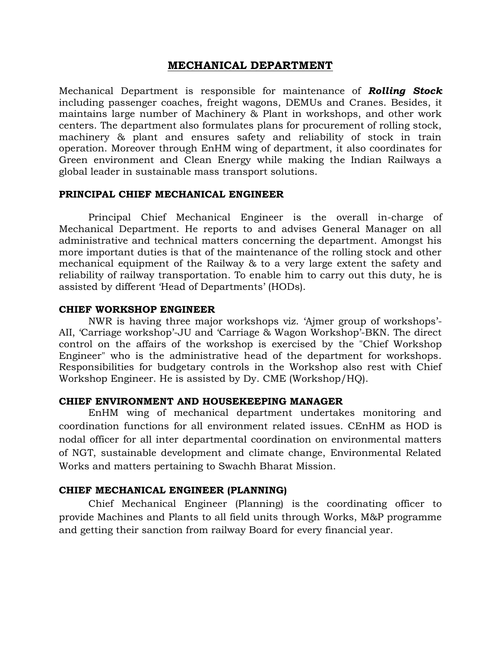# **MECHANICAL DEPARTMENT**

Mechanical Department is responsible for maintenance of *Rolling Stock* including passenger coaches, freight wagons, DEMUs and Cranes. Besides, it maintains large number of Machinery & Plant in workshops, and other work centers. The department also formulates plans for procurement of rolling stock, machinery & plant and ensures safety and reliability of stock in train operation. Moreover through EnHM wing of department, it also coordinates for Green environment and Clean Energy while making the Indian Railways a global leader in sustainable mass transport solutions.

#### **PRINCIPAL CHIEF MECHANICAL ENGINEER**

Principal Chief Mechanical Engineer is the overall in-charge of Mechanical Department. He reports to and advises General Manager on all administrative and technical matters concerning the department. Amongst his more important duties is that of the maintenance of the rolling stock and other mechanical equipment of the Railway & to a very large extent the safety and reliability of railway transportation. To enable him to carry out this duty, he is assisted by different 'Head of Departments' (HODs).

### **CHIEF WORKSHOP ENGINEER**

NWR is having three major workshops viz. 'Ajmer group of workshops'- AII, 'Carriage workshop'-JU and 'Carriage & Wagon Workshop'-BKN. The direct control on the affairs of the workshop is exercised by the "Chief Workshop Engineer" who is the administrative head of the department for workshops. Responsibilities for budgetary controls in the Workshop also rest with Chief Workshop Engineer. He is assisted by Dy. CME (Workshop/HQ).

### **CHIEF ENVIRONMENT AND HOUSEKEEPING MANAGER**

EnHM wing of mechanical department undertakes monitoring and coordination functions for all environment related issues. CEnHM as HOD is nodal officer for all inter departmental coordination on environmental matters of NGT, sustainable development and climate change, Environmental Related Works and matters pertaining to Swachh Bharat Mission.

### **CHIEF MECHANICAL ENGINEER (PLANNING)**

Chief Mechanical Engineer (Planning) is the coordinating officer to provide Machines and Plants to all field units through Works, M&P programme and getting their sanction from railway Board for every financial year.